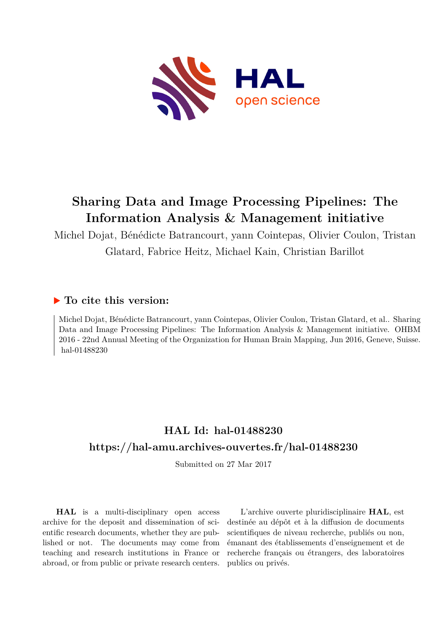

# **Sharing Data and Image Processing Pipelines: The Information Analysis & Management initiative**

Michel Dojat, Bénédicte Batrancourt, yann Cointepas, Olivier Coulon, Tristan Glatard, Fabrice Heitz, Michael Kain, Christian Barillot

### **To cite this version:**

Michel Dojat, Bénédicte Batrancourt, yann Cointepas, Olivier Coulon, Tristan Glatard, et al.. Sharing Data and Image Processing Pipelines: The Information Analysis & Management initiative. OHBM 2016 - 22nd Annual Meeting of the Organization for Human Brain Mapping, Jun 2016, Geneve, Suisse. hal-01488230

## **HAL Id: hal-01488230 <https://hal-amu.archives-ouvertes.fr/hal-01488230>**

Submitted on 27 Mar 2017

**HAL** is a multi-disciplinary open access archive for the deposit and dissemination of scientific research documents, whether they are published or not. The documents may come from teaching and research institutions in France or abroad, or from public or private research centers.

L'archive ouverte pluridisciplinaire **HAL**, est destinée au dépôt et à la diffusion de documents scientifiques de niveau recherche, publiés ou non, émanant des établissements d'enseignement et de recherche français ou étrangers, des laboratoires publics ou privés.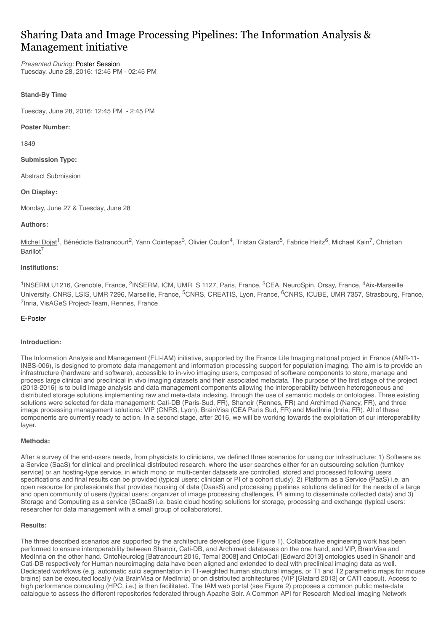## Sharing Data and Image Processing Pipelines: The Information Analysis & Management initiative

*Presented During:* [Poster Session](https://ww5.aievolution.com/hbm1601/index.cfm?do=ev.viewEv&ev=2747) Tuesday, June 28, 2016: 12:45 PM - 02:45 PM

#### **Stand-By Time**

Tuesday, June 28, 2016: 12:45 PM - 2:45 PM

#### **Poster Number:**

1849

#### **Submission Type:**

Abstract Submission

#### **On Display:**

Monday, June 27 & Tuesday, June 28

#### **Authors:**

Michel Dojat<sup>1</sup>, Bénédicte Batrancourt<sup>2</sup>, Yann Cointepas<sup>3</sup>, Olivier Coulon<sup>4</sup>, Tristan Glatard<sup>5</sup>, Fabrice Heitz<sup>6</sup>, Michael Kain<sup>7</sup>, Christian Barillot<sup>7</sup>

#### **Institutions:**

<sup>1</sup>INSERM U1216, Grenoble, France, <sup>2</sup>INSERM, ICM, UMR\_S 1127, Paris, France, <sup>3</sup>CEA, NeuroSpin, Orsay, France, <sup>4</sup>Aix-Marseille University, CNRS, LSIS, UMR 7296, Marseille, France, <sup>5</sup>CNRS, CREATIS, Lyon, France, <sup>6</sup>CNRS, ICUBE, UMR 7357, Strasbourg, France, 7Inria, VisAGeS Project-Team, Rennes, France

#### [E-Poster](javascript:viewDocument(1039);)

#### **Introduction:**

The Information Analysis and Management (FLI-IAM) initiative, supported by the France Life Imaging national project in France (ANR-11- INBS-006), is designed to promote data management and information processing support for population imaging. The aim is to provide an infrastructure (hardware and software), accessible to in-vivo imaging users, composed of software components to store, manage and process large clinical and preclinical in vivo imaging datasets and their associated metadata. The purpose of the first stage of the project (2013-2016) is to build image analysis and data management components allowing the interoperability between heterogeneous and distributed storage solutions implementing raw and meta-data indexing, through the use of semantic models or ontologies. Three existing solutions were selected for data management: Cati-DB (Paris-Sud, FR), Shanoir (Rennes, FR) and Archimed (Nancy, FR), and three image processing management solutions: VIP (CNRS, Lyon), BrainVisa (CEA Paris Sud, FR) and MedInria (Inria, FR). All of these components are currently ready to action. In a second stage, after 2016, we will be working towards the exploitation of our interoperability layer.

#### **Methods:**

After a survey of the end-users needs, from physicists to clinicians, we defined three scenarios for using our infrastructure: 1) Software as a Service (SaaS) for clinical and preclinical distributed research, where the user searches either for an outsourcing solution (turnkey service) or an hosting-type service, in which mono or multi-center datasets are controlled, stored and processed following users specifications and final results can be provided (typical users: clinician or PI of a cohort study), 2) Platform as a Service (PaaS) i.e. an open resource for professionals that provides housing of data (DaasS) and processing pipelines solutions defined for the needs of a large and open community of users (typical users: organizer of image processing challenges, PI aiming to disseminate collected data) and 3) Storage and Computing as a service (SCaaS) i.e. basic cloud hosting solutions for storage, processing and exchange (typical users: researcher for data management with a small group of collaborators).

#### **Results:**

The three described scenarios are supported by the architecture developed (see Figure 1). Collaborative engineering work has been performed to ensure interoperability between Shanoir, Cati-DB, and Archimed databases on the one hand, and VIP, BrainVisa and MedInria on the other hand. OntoNeurolog [Batrancourt 2015, Temal 2008] and OntoCati [Edward 2013] ontologies used in Shanoir and Cati-DB respectively for Human neuroimaging data have been aligned and extended to deal with preclinical imaging data as well. Dedicated workflows (e.g. automatic sulci segmentation in T1-weighted human structural images, or T1 and T2 parametric maps for mouse brains) can be executed locally (via BrainVisa or MedInria) or on distributed architectures (VIP [Glatard 2013] or CATI capsul). Access to high performance computing (HPC, i.e.) is then facilitated. The IAM web portal (see Figure 2) proposes a common public meta-data catalogue to assess the different repositories federated through Apache Solr. A Common API for Research Medical Imaging Network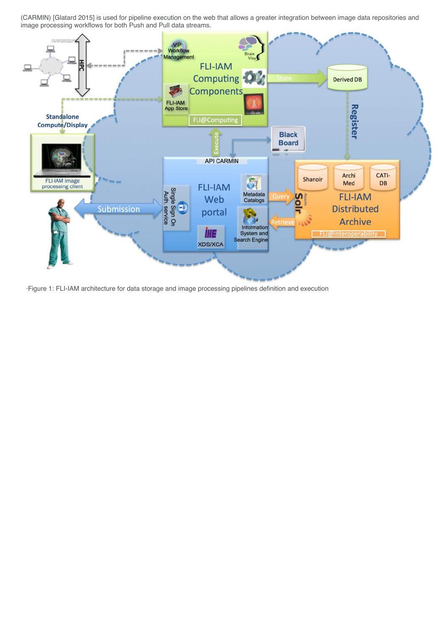(CARMIN) [Glatard 2015] is used for pipeline execution on the web that allows a greater integration between image data repositories and image processing workflows for both Push and Pull data streams.



·Figure 1: FLI-IAM architecture for data storage and image processing pipelines definition and execution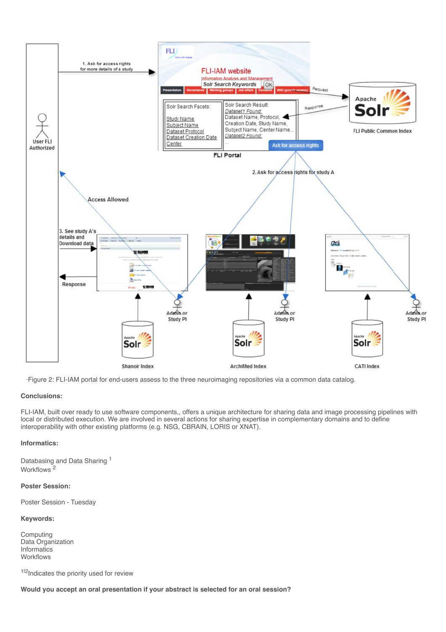

·Figure 2: FLI-IAM portal for end-users assess to the three neuroimaging repositories via a common data catalog.

#### **Conclusions:**

FLI-IAM, built over ready to use software components,, offers a unique architecture for sharing data and image processing pipelines with local or distributed execution. We are involved in several actions for sharing expertise in complementary domains and to define interoperability with other existing platforms (e.g. NSG, CBRAIN, LORIS or XNAT).

#### **Informatics:**

Databasing and Data Sharing 1 Workflows 2

#### **Poster Session:**

Poster Session - Tuesday

#### **Keywords:**

Computing Data Organization Informatics **Workflows** 

1|2| Indicates the priority used for review

**Would you accept an oral presentation if your abstract is selected for an oral session?**